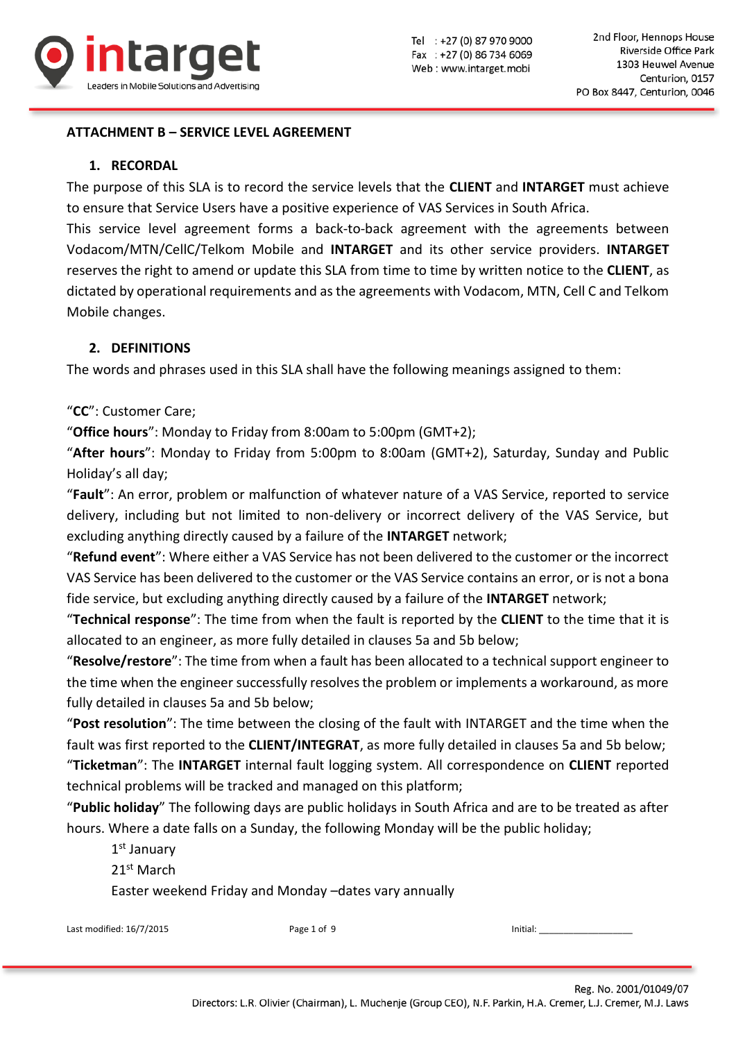

## **ATTACHMENT B – SERVICE LEVEL AGREEMENT**

#### **1. RECORDAL**

The purpose of this SLA is to record the service levels that the **CLIENT** and **INTARGET** must achieve to ensure that Service Users have a positive experience of VAS Services in South Africa.

This service level agreement forms a back-to-back agreement with the agreements between Vodacom/MTN/CellC/Telkom Mobile and **INTARGET** and its other service providers. **INTARGET** reserves the right to amend or update this SLA from time to time by written notice to the **CLIENT**, as dictated by operational requirements and as the agreements with Vodacom, MTN, Cell C and Telkom Mobile changes.

# **2. DEFINITIONS**

The words and phrases used in this SLA shall have the following meanings assigned to them:

"**CC**": Customer Care;

"**Office hours**": Monday to Friday from 8:00am to 5:00pm (GMT+2);

"**After hours**": Monday to Friday from 5:00pm to 8:00am (GMT+2), Saturday, Sunday and Public Holiday's all day;

"**Fault**": An error, problem or malfunction of whatever nature of a VAS Service, reported to service delivery, including but not limited to non-delivery or incorrect delivery of the VAS Service, but excluding anything directly caused by a failure of the **INTARGET** network;

"**Refund event**": Where either a VAS Service has not been delivered to the customer or the incorrect VAS Service has been delivered to the customer or the VAS Service contains an error, or is not a bona fide service, but excluding anything directly caused by a failure of the **INTARGET** network;

"**Technical response**": The time from when the fault is reported by the **CLIENT** to the time that it is allocated to an engineer, as more fully detailed in clauses 5a and 5b below;

"**Resolve/restore**": The time from when a fault has been allocated to a technical support engineer to the time when the engineer successfully resolves the problem or implements a workaround, as more fully detailed in clauses 5a and 5b below;

"**Post resolution**": The time between the closing of the fault with INTARGET and the time when the fault was first reported to the **CLIENT/INTEGRAT**, as more fully detailed in clauses 5a and 5b below; "**Ticketman**": The **INTARGET** internal fault logging system. All correspondence on **CLIENT** reported technical problems will be tracked and managed on this platform;

"**Public holiday**" The following days are public holidays in South Africa and are to be treated as after hours. Where a date falls on a Sunday, the following Monday will be the public holiday;

1 st January 21<sup>st</sup> March Easter weekend Friday and Monday –dates vary annually

Last modified: 16/7/2015 **Page 1 of 9** Page 1 of 9 **Initial:**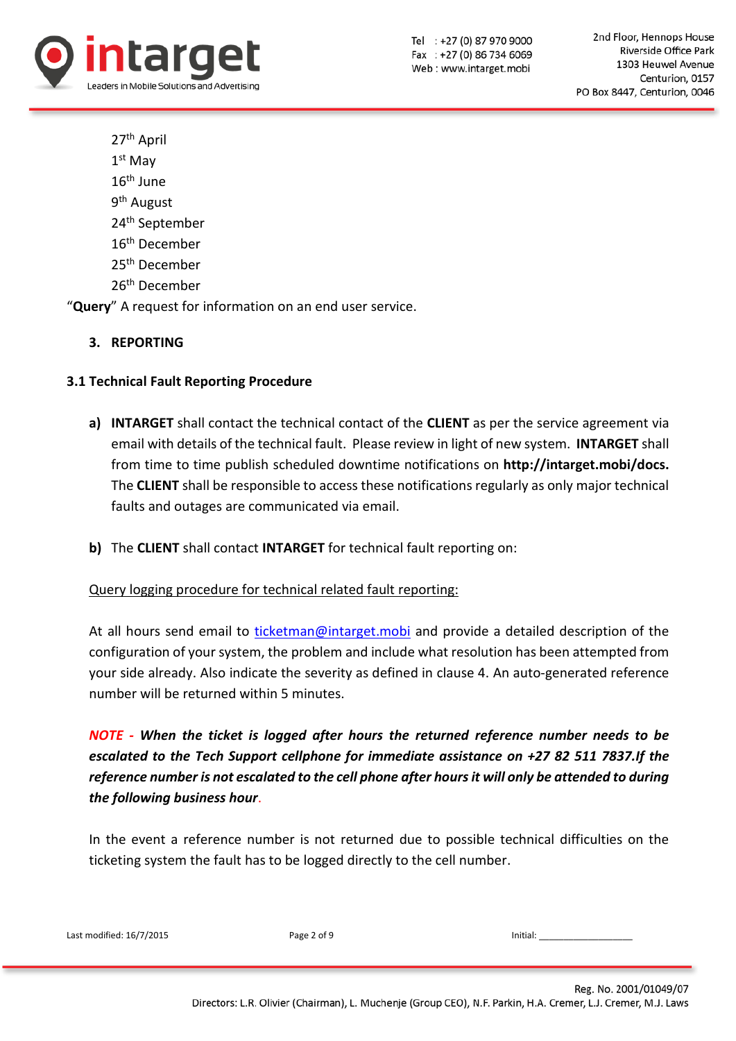

27th April 1 st May 16th June 9<sup>th</sup> August 24th September 16th December 25th December 26th December

"**Query**" A request for information on an end user service.

**3. REPORTING**

## **3.1 Technical Fault Reporting Procedure**

- **a) INTARGET** shall contact the technical contact of the **CLIENT** as per the service agreement via email with details of the technical fault. Please review in light of new system. **INTARGET** shall from time to time publish scheduled downtime notifications on **http://intarget.mobi/docs.** The **CLIENT** shall be responsible to access these notifications regularly as only major technical faults and outages are communicated via email.
- **b)** The **CLIENT** shall contact **INTARGET** for technical fault reporting on:

#### Query logging procedure for technical related fault reporting:

At all hours send email to [ticketman@intarget.mobi](mailto:ticketman@intarget.mobi) and provide a detailed description of the configuration of your system, the problem and include what resolution has been attempted from your side already. Also indicate the severity as defined in clause 4. An auto-generated reference number will be returned within 5 minutes.

*NOTE - When the ticket is logged after hours the returned reference number needs to be escalated to the Tech Support cellphone for immediate assistance on +27 82 511 7837.If the reference number is not escalated to the cell phone after hoursit will only be attended to during the following business hour*.

In the event a reference number is not returned due to possible technical difficulties on the ticketing system the fault has to be logged directly to the cell number.

| Last modified: 16/7/2015 | Page 2 of 9 | Initial: |
|--------------------------|-------------|----------|
|                          |             |          |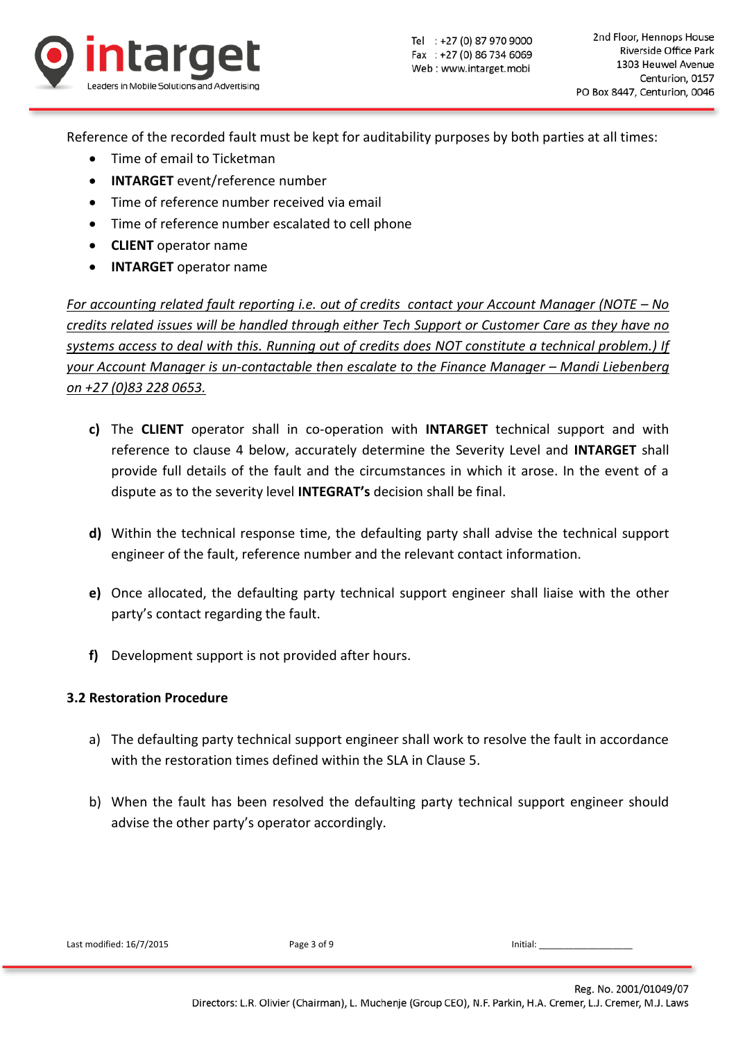

Reference of the recorded fault must be kept for auditability purposes by both parties at all times:

- Time of email to Ticketman
- **INTARGET** event/reference number
- Time of reference number received via email
- Time of reference number escalated to cell phone
- **CLIENT** operator name
- **INTARGET** operator name

*For accounting related fault reporting i.e. out of credits contact your Account Manager (NOTE – No credits related issues will be handled through either Tech Support or Customer Care as they have no systems access to deal with this. Running out of credits does NOT constitute a technical problem.) If your Account Manager is un-contactable then escalate to the Finance Manager – Mandi Liebenberg on +27 (0)83 228 0653.*

- **c)** The **CLIENT** operator shall in co-operation with **INTARGET** technical support and with reference to clause 4 below, accurately determine the Severity Level and **INTARGET** shall provide full details of the fault and the circumstances in which it arose. In the event of a dispute as to the severity level **INTEGRAT's** decision shall be final.
- **d)** Within the technical response time, the defaulting party shall advise the technical support engineer of the fault, reference number and the relevant contact information.
- **e)** Once allocated, the defaulting party technical support engineer shall liaise with the other party's contact regarding the fault.
- **f)** Development support is not provided after hours.

#### **3.2 Restoration Procedure**

- a) The defaulting party technical support engineer shall work to resolve the fault in accordance with the restoration times defined within the SLA in Clause 5.
- b) When the fault has been resolved the defaulting party technical support engineer should advise the other party's operator accordingly.

Last modified:  $16/7/2015$  Page 3 of 9 Page 1 Page 1 Page 1 Page 1 Page 1 Page 1 Page 1 Page 1 Page 1 Page 1 Page 1 Page 1 Page 1 Page 1 Page 1 Page 1 Page 1 Page 1 Page 1 Page 1 Page 1 Page 1 Page 1 Page 1 Page 1 Page 1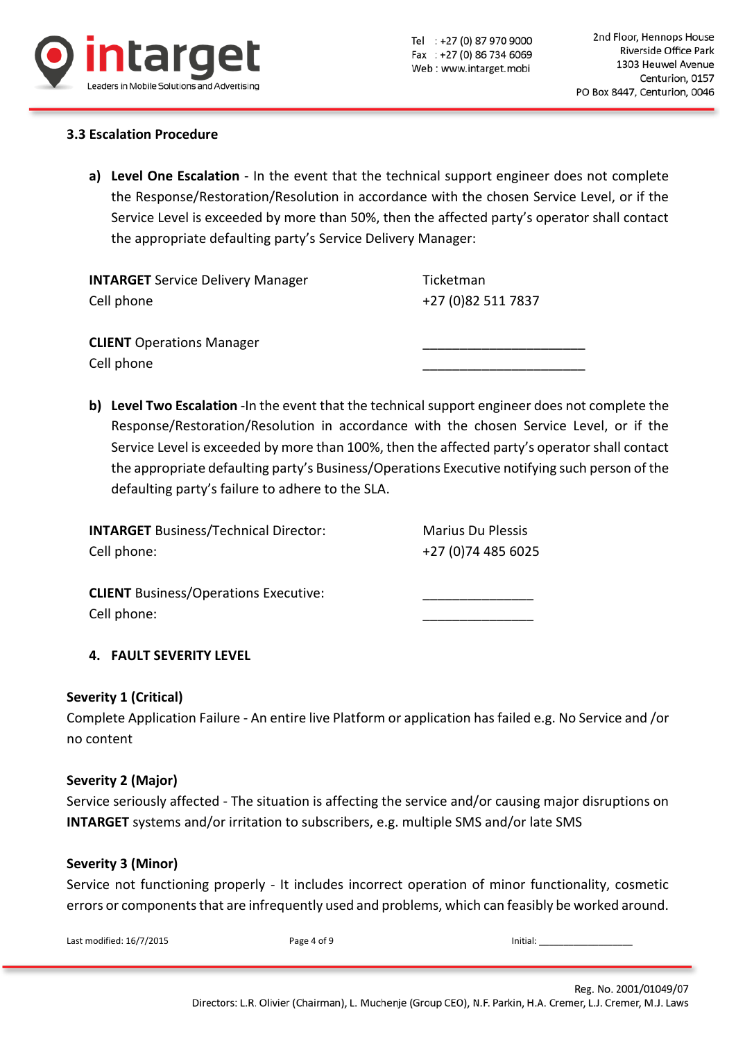

#### **3.3 Escalation Procedure**

**a) Level One Escalation** - In the event that the technical support engineer does not complete the Response/Restoration/Resolution in accordance with the chosen Service Level, or if the Service Level is exceeded by more than 50%, then the affected party's operator shall contact the appropriate defaulting party's Service Delivery Manager:

**INTARGET** Service Delivery Manager Ticketman Cell phone +27 (0)82 511 7837

**CLIENT** Operations Manager Cell phone

**b) Level Two Escalation** -In the event that the technical support engineer does not complete the Response/Restoration/Resolution in accordance with the chosen Service Level, or if the Service Level is exceeded by more than 100%, then the affected party's operator shall contact the appropriate defaulting party's Business/Operations Executive notifying such person of the defaulting party's failure to adhere to the SLA.

| <b>INTARGET Business/Technical Director:</b> | <b>Marius Du Plessis</b> |
|----------------------------------------------|--------------------------|
| Cell phone:                                  | +27 (0) 74 485 6025      |
| <b>CLIENT</b> Business/Operations Executive: |                          |
| Cell phone:                                  |                          |

# **4. FAULT SEVERITY LEVEL**

#### **Severity 1 (Critical)**

Complete Application Failure - An entire live Platform or application has failed e.g. No Service and /or no content

#### **Severity 2 (Major)**

Service seriously affected - The situation is affecting the service and/or causing major disruptions on **INTARGET** systems and/or irritation to subscribers, e.g. multiple SMS and/or late SMS

#### **Severity 3 (Minor)**

Service not functioning properly - It includes incorrect operation of minor functionality, cosmetic errors or components that are infrequently used and problems, which can feasibly be worked around.

| Last modified: 16/7/2015 | Page 4 of 9 | Initial: |
|--------------------------|-------------|----------|
|                          |             |          |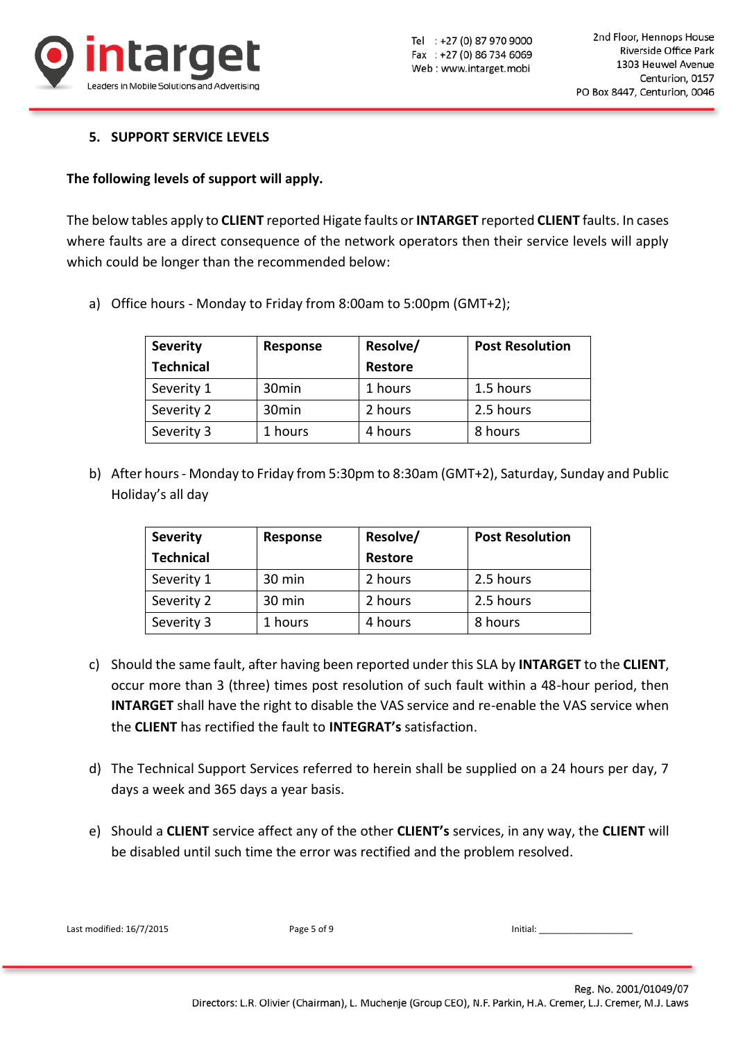

## **5. SUPPORT SERVICE LEVELS**

## **The following levels of support will apply.**

The below tables apply to **CLIENT** reported Higate faults or **INTARGET** reported **CLIENT** faults. In cases where faults are a direct consequence of the network operators then their service levels will apply which could be longer than the recommended below:

a) Office hours - Monday to Friday from 8:00am to 5:00pm (GMT+2);

| <b>Severity</b>  | <b>Response</b>   | Resolve/       | <b>Post Resolution</b> |
|------------------|-------------------|----------------|------------------------|
| <b>Technical</b> |                   | <b>Restore</b> |                        |
| Severity 1       | 30 <sub>min</sub> | 1 hours        | 1.5 hours              |
| Severity 2       | 30 <sub>min</sub> | 2 hours        | 2.5 hours              |
| Severity 3       | 1 hours           | 4 hours        | 8 hours                |

b) After hours- Monday to Friday from 5:30pm to 8:30am (GMT+2), Saturday, Sunday and Public Holiday's all day

| <b>Severity</b>  | Response | Resolve/ | <b>Post Resolution</b> |
|------------------|----------|----------|------------------------|
| <b>Technical</b> |          | Restore  |                        |
| Severity 1       | 30 min   | 2 hours  | 2.5 hours              |
| Severity 2       | 30 min   | 2 hours  | 2.5 hours              |
| Severity 3       | 1 hours  | 4 hours  | 8 hours                |

- c) Should the same fault, after having been reported under this SLA by **INTARGET** to the **CLIENT**, occur more than 3 (three) times post resolution of such fault within a 48-hour period, then **INTARGET** shall have the right to disable the VAS service and re-enable the VAS service when the **CLIENT** has rectified the fault to **INTEGRAT's** satisfaction.
- d) The Technical Support Services referred to herein shall be supplied on a 24 hours per day, 7 days a week and 365 days a year basis.
- e) Should a **CLIENT** service affect any of the other **CLIENT's** services, in any way, the **CLIENT** will be disabled until such time the error was rectified and the problem resolved.

| Last modified: 16/7/2015 | Page 5 of 9 | Initial:               |
|--------------------------|-------------|------------------------|
|                          |             |                        |
|                          |             | Reg. No. 2001/01049/07 |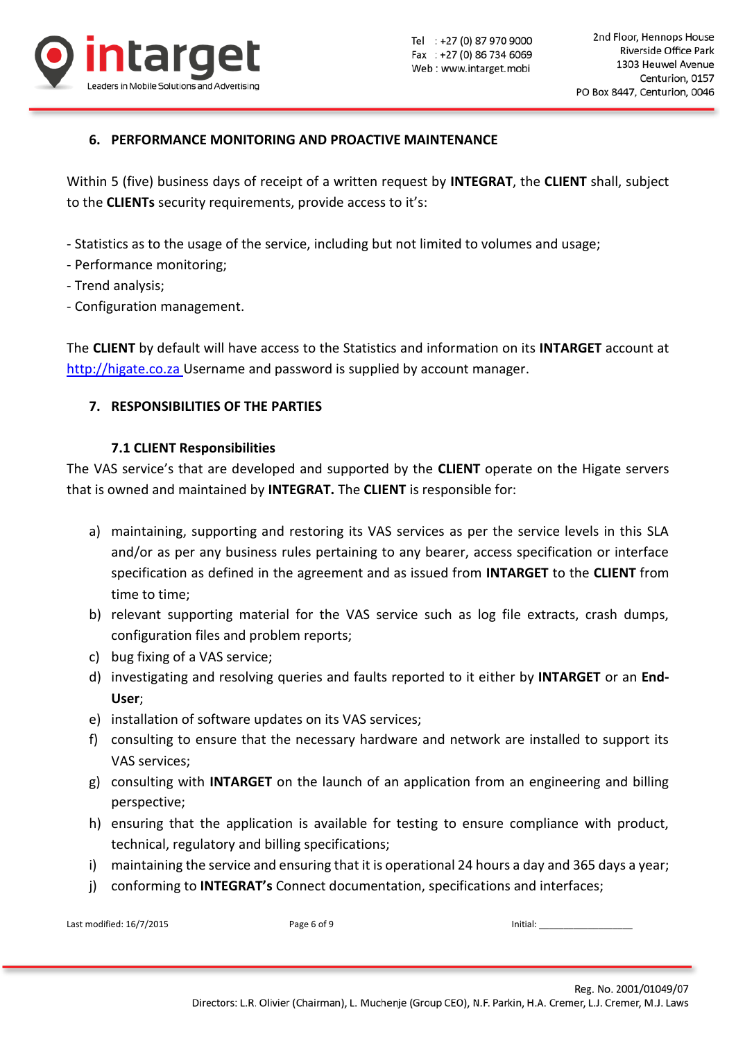

# **6. PERFORMANCE MONITORING AND PROACTIVE MAINTENANCE**

Within 5 (five) business days of receipt of a written request by **INTEGRAT**, the **CLIENT** shall, subject to the **CLIENTs** security requirements, provide access to it's:

- Statistics as to the usage of the service, including but not limited to volumes and usage;
- Performance monitoring;
- Trend analysis;
- Configuration management.

The **CLIENT** by default will have access to the Statistics and information on its **INTARGET** account at [http://higate.co.za](http://higate.co.za/) Username and password is supplied by account manager.

## **7. RESPONSIBILITIES OF THE PARTIES**

#### **7.1 CLIENT Responsibilities**

The VAS service's that are developed and supported by the **CLIENT** operate on the Higate servers that is owned and maintained by **INTEGRAT.** The **CLIENT** is responsible for:

- a) maintaining, supporting and restoring its VAS services as per the service levels in this SLA and/or as per any business rules pertaining to any bearer, access specification or interface specification as defined in the agreement and as issued from **INTARGET** to the **CLIENT** from time to time;
- b) relevant supporting material for the VAS service such as log file extracts, crash dumps, configuration files and problem reports;
- c) bug fixing of a VAS service;
- d) investigating and resolving queries and faults reported to it either by **INTARGET** or an **End-User**;
- e) installation of software updates on its VAS services;
- f) consulting to ensure that the necessary hardware and network are installed to support its VAS services;
- g) consulting with **INTARGET** on the launch of an application from an engineering and billing perspective;
- h) ensuring that the application is available for testing to ensure compliance with product, technical, regulatory and billing specifications;
- i) maintaining the service and ensuring that it is operational 24 hours a day and 365 days a year;
- j) conforming to **INTEGRAT's** Connect documentation, specifications and interfaces;

Last modified: 16/7/2015 Page 6 of 9 Initial: \_\_\_\_\_\_\_\_\_\_\_\_\_\_\_\_\_\_\_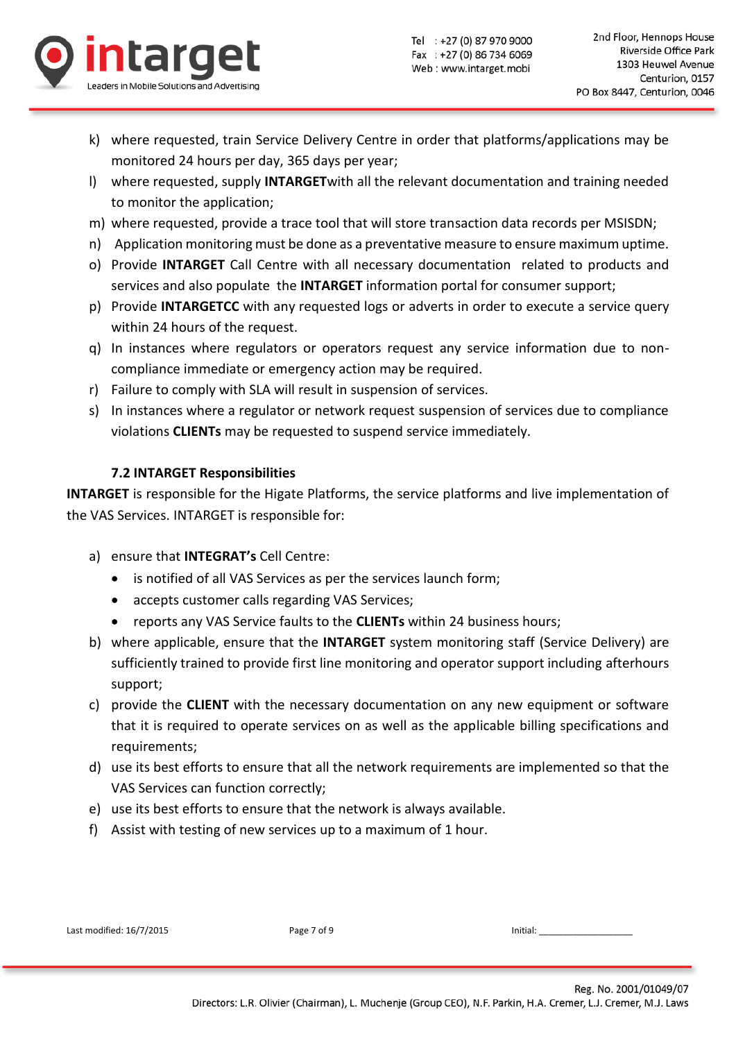

- k) where requested, train Service Delivery Centre in order that platforms/applications may be monitored 24 hours per day, 365 days per year;
- l) where requested, supply **INTARGET**with all the relevant documentation and training needed to monitor the application;
- m) where requested, provide a trace tool that will store transaction data records per MSISDN;
- n) Application monitoring must be done as a preventative measure to ensure maximum uptime.
- o) Provide **INTARGET** Call Centre with all necessary documentation related to products and services and also populate the **INTARGET** information portal for consumer support;
- p) Provide **INTARGETCC** with any requested logs or adverts in order to execute a service query within 24 hours of the request.
- q) In instances where regulators or operators request any service information due to noncompliance immediate or emergency action may be required.
- r) Failure to comply with SLA will result in suspension of services.
- s) In instances where a regulator or network request suspension of services due to compliance violations **CLIENTs** may be requested to suspend service immediately.

# **7.2 INTARGET Responsibilities**

**INTARGET** is responsible for the Higate Platforms, the service platforms and live implementation of the VAS Services. INTARGET is responsible for:

- a) ensure that **INTEGRAT's** Cell Centre:
	- is notified of all VAS Services as per the services launch form;
	- accepts customer calls regarding VAS Services;
	- reports any VAS Service faults to the **CLIENTs** within 24 business hours;
- b) where applicable, ensure that the **INTARGET** system monitoring staff (Service Delivery) are sufficiently trained to provide first line monitoring and operator support including afterhours support;
- c) provide the **CLIENT** with the necessary documentation on any new equipment or software that it is required to operate services on as well as the applicable billing specifications and requirements;
- d) use its best efforts to ensure that all the network requirements are implemented so that the VAS Services can function correctly;
- e) use its best efforts to ensure that the network is always available.
- f) Assist with testing of new services up to a maximum of 1 hour.

| Last modified: 16/7/2015 |  |
|--------------------------|--|
|--------------------------|--|

Last modified: 16/7/2015 **Page 7 of 9 Initial:** \_\_\_\_\_\_\_\_\_\_\_\_\_\_\_\_\_\_\_\_\_\_\_\_\_\_\_\_\_\_\_\_\_\_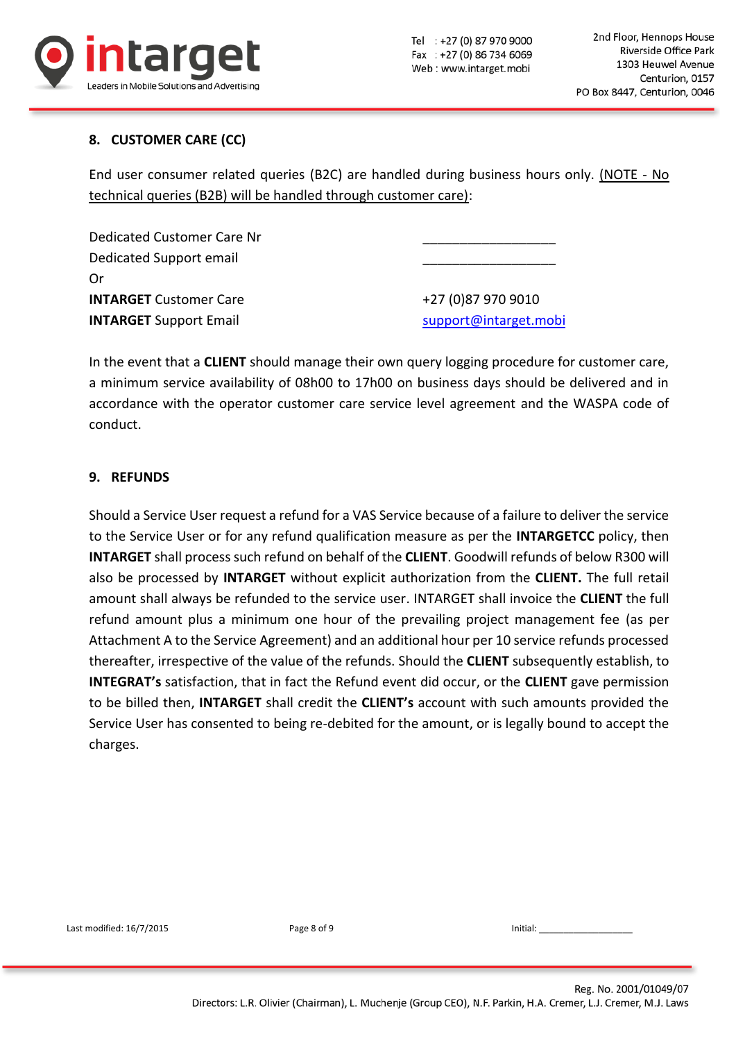

# **8. CUSTOMER CARE (CC)**

End user consumer related queries (B2C) are handled during business hours only. (NOTE - No technical queries (B2B) will be handled through customer care):

Dedicated Customer Care Nr Dedicated Support email Or **INTARGET** Customer Care  $+27$  (0)87 970 9010 **INTARGET** Support Email support and support @intarget.mobi

In the event that a **CLIENT** should manage their own query logging procedure for customer care, a minimum service availability of 08h00 to 17h00 on business days should be delivered and in accordance with the operator customer care service level agreement and the WASPA code of conduct.

## **9. REFUNDS**

Should a Service User request a refund for a VAS Service because of a failure to deliver the service to the Service User or for any refund qualification measure as per the **INTARGETCC** policy, then **INTARGET** shall process such refund on behalf of the **CLIENT**. Goodwill refunds of below R300 will also be processed by **INTARGET** without explicit authorization from the **CLIENT.** The full retail amount shall always be refunded to the service user. INTARGET shall invoice the **CLIENT** the full refund amount plus a minimum one hour of the prevailing project management fee (as per Attachment A to the Service Agreement) and an additional hour per 10 service refunds processed thereafter, irrespective of the value of the refunds. Should the **CLIENT** subsequently establish, to **INTEGRAT's** satisfaction, that in fact the Refund event did occur, or the **CLIENT** gave permission to be billed then, **INTARGET** shall credit the **CLIENT's** account with such amounts provided the Service User has consented to being re-debited for the amount, or is legally bound to accept the charges.

Last modified: 16/7/2015 **Page 8 of 9 Initial:**  $\frac{1}{2}$  **Page 8 of 9 Initial:**  $\frac{1}{2}$  **Initial:**  $\frac{1}{2}$